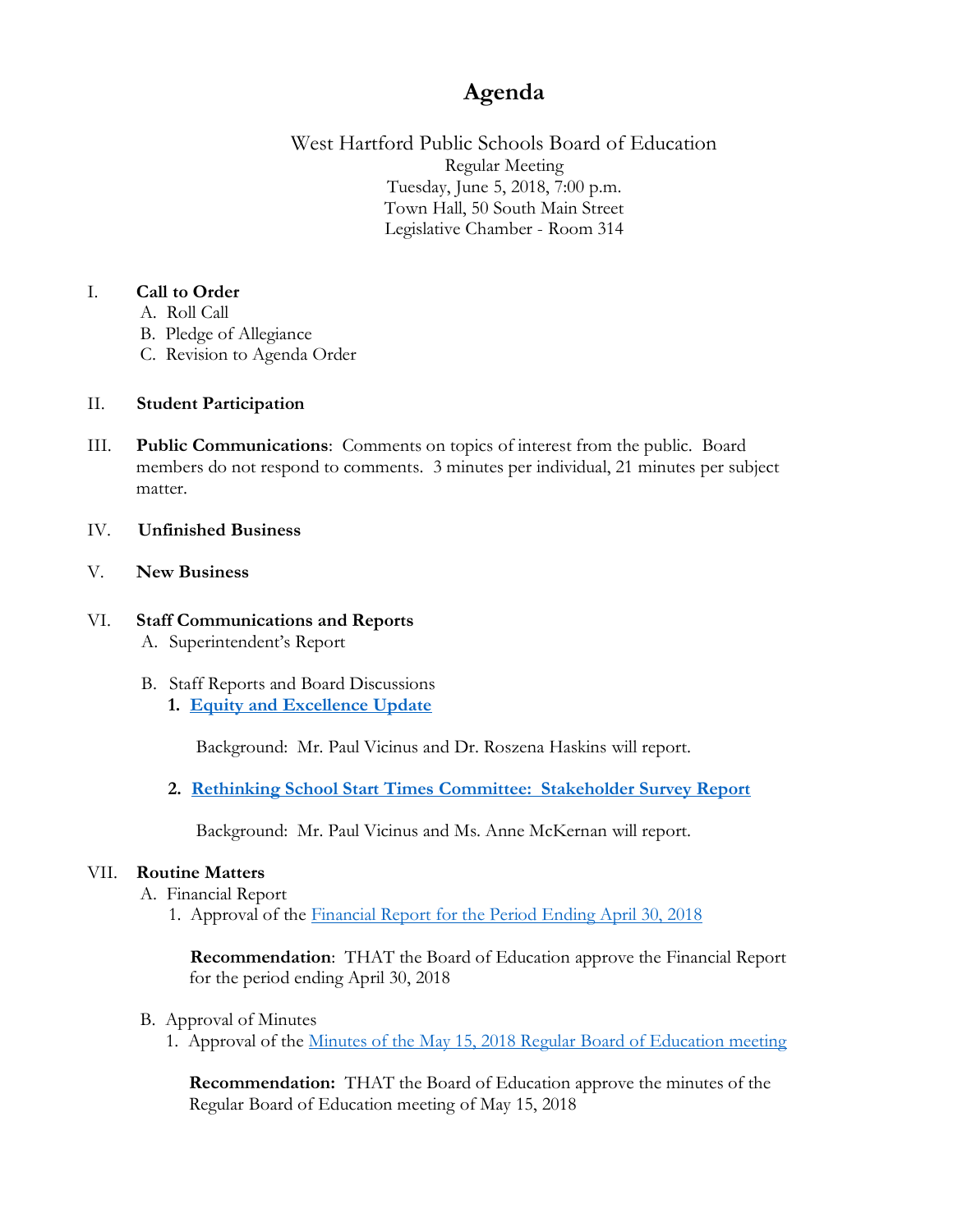# **Agenda**

West Hartford Public Schools Board of Education Regular Meeting Tuesday, June 5, 2018, 7:00 p.m. Town Hall, 50 South Main Street Legislative Chamber - Room 314

# I. **Call to Order**

- A. Roll Call
- B. Pledge of Allegiance
- C. Revision to Agenda Order

# II. **Student Participation**

III. **Public Communications**: Comments on topics of interest from the public. Board members do not respond to comments. 3 minutes per individual, 21 minutes per subject matter.

#### IV. **Unfinished Business**

# V. **New Business**

# VI. **Staff Communications and Reports**

- A. Superintendent's Report
- B. Staff Reports and Board Discussions
	- **1. [Equity and Excellence Update](https://www.whps.org/uploaded/BOE/BOE_Documents/20180605/BoE_Agenda_Item-Equity_and_Excellence_6-5-18_Draft.pdf?1527796152497)**

Background: Mr. Paul Vicinus and Dr. Roszena Haskins will report.

**2. [Rethinking School Start Times Committee: Stakeholder Survey Report](https://www.whps.org/uploaded/BOE/BOE_Documents/20180605/Rethinking_School_Start_Times_Stakeholder_Survey_Report.pdf?1527796170603)**

Background: Mr. Paul Vicinus and Ms. Anne McKernan will report.

#### VII. **Routine Matters**

A. Financial Report

1. Approval of the [Financial Report for the Period Ending April 30, 2018](https://www.whps.org/uploaded/BOE/BOE_Documents/20180605/Financial_Report_-_April_2018.pdf?1527796188434)

 **Recommendation**: THAT the Board of Education approve the Financial Report for the period ending April 30, 2018

#### B. Approval of Minutes

1. Approval of the Minutes of [the May 15, 2018 Regular Board of Education meeting](https://www.whps.org/uploaded/BOE/BOE_Documents/20180605/minutes_from_May_15,_2018.pdf?1527796209288)

**Recommendation:** THAT the Board of Education approve the minutes of the Regular Board of Education meeting of May 15, 2018